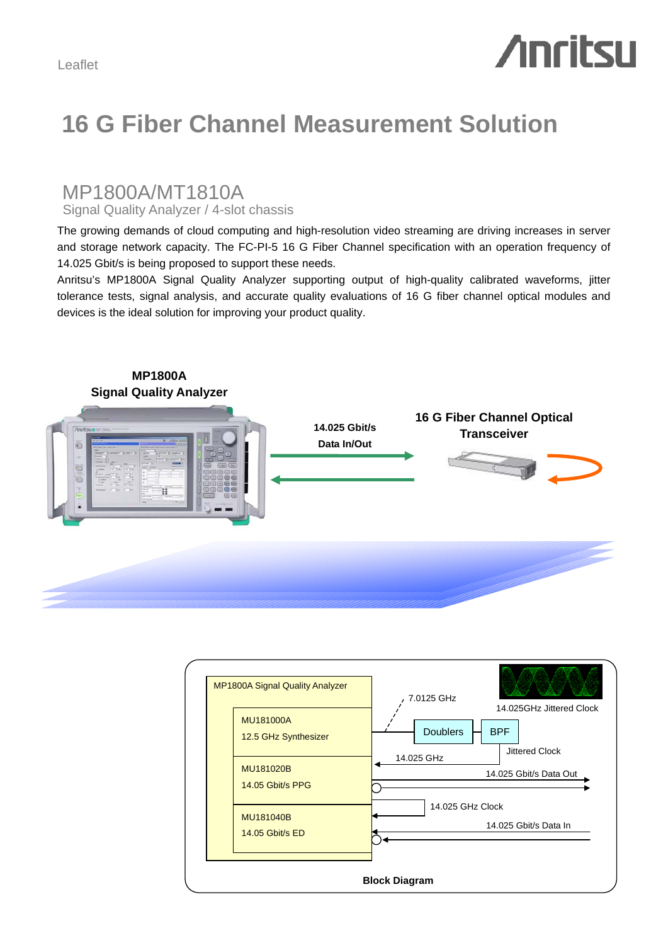# **Anritsu**

## **16 G Fiber Channel Measurement Solution**

### MP1800A/MT1810A

Signal Quality Analyzer / 4-slot chassis

The growing demands of cloud computing and high-resolution video streaming are driving increases in server and storage network capacity. The FC-PI-5 16 G Fiber Channel specification with an operation frequency of 14.025 Gbit/s is being proposed to support these needs.

Anritsu's MP1800A Signal Quality Analyzer supporting output of high-quality calibrated waveforms, jitter tolerance tests, signal analysis, and accurate quality evaluations of 16 G fiber channel optical modules and devices is the ideal solution for improving your product quality.